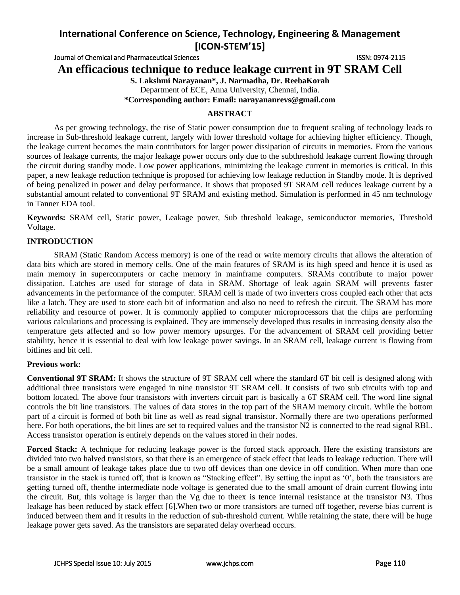Journal of Chemical and Pharmaceutical Sciences **ISSN: 0974-2115** ISSN: 0974-2115

**An efficacious technique to reduce leakage current in 9T SRAM Cell**

**S. Lakshmi Narayanan\*, J. Narmadha, Dr. ReebaKorah**

Department of ECE, Anna University, Chennai, India.

**\*Corresponding author: Email: narayananrevs@gmail.com**

## **ABSTRACT**

As per growing technology, the rise of Static power consumption due to frequent scaling of technology leads to increase in Sub-threshold leakage current, largely with lower threshold voltage for achieving higher efficiency. Though, the leakage current becomes the main contributors for larger power dissipation of circuits in memories. From the various sources of leakage currents, the major leakage power occurs only due to the subthreshold leakage current flowing through the circuit during standby mode. Low power applications, minimizing the leakage current in memories is critical. In this paper, a new leakage reduction technique is proposed for achieving low leakage reduction in Standby mode. It is deprived of being penalized in power and delay performance. It shows that proposed 9T SRAM cell reduces leakage current by a substantial amount related to conventional 9T SRAM and existing method. Simulation is performed in 45 nm technology in Tanner EDA tool.

**Keywords:** SRAM cell, Static power, Leakage power, Sub threshold leakage, semiconductor memories, Threshold Voltage.

## **INTRODUCTION**

SRAM (Static Random Access memory) is one of the read or write memory circuits that allows the alteration of data bits which are stored in memory cells. One of the main features of SRAM is its high speed and hence it is used as main memory in supercomputers or cache memory in mainframe computers. SRAMs contribute to major power dissipation. Latches are used for storage of data in SRAM. Shortage of leak again SRAM will prevents faster advancements in the performance of the computer. SRAM cell is made of two inverters cross coupled each other that acts like a latch. They are used to store each bit of information and also no need to refresh the circuit. The SRAM has more reliability and resource of power. It is commonly applied to computer microprocessors that the chips are performing various calculations and processing is explained. They are immensely developed thus results in increasing density also the temperature gets affected and so low power memory upsurges. For the advancement of SRAM cell providing better stability, hence it is essential to deal with low leakage power savings. In an SRAM cell, leakage current is flowing from bitlines and bit cell.

## **Previous work:**

**Conventional 9T SRAM:** It shows the structure of 9T SRAM cell where the standard 6T bit cell is designed along with additional three transistors were engaged in nine transistor 9T SRAM cell. It consists of two sub circuits with top and bottom located. The above four transistors with inverters circuit part is basically a 6T SRAM cell. The word line signal controls the bit line transistors. The values of data stores in the top part of the SRAM memory circuit. While the bottom part of a circuit is formed of both bit line as well as read signal transistor. Normally there are two operations performed here. For both operations, the bit lines are set to required values and the transistor N2 is connected to the read signal RBL. Access transistor operation is entirely depends on the values stored in their nodes.

**Forced Stack:** A technique for reducing leakage power is the forced stack approach. Here the existing transistors are divided into two halved transistors, so that there is an emergence of stack effect that leads to leakage reduction. There will be a small amount of leakage takes place due to two off devices than one device in off condition. When more than one transistor in the stack is turned off, that is known as "Stacking effect". By setting the input as '0', both the transistors are getting turned off, thenthe intermediate node voltage is generated due to the small amount of drain current flowing into the circuit. But, this voltage is larger than the Vg due to theex is tence internal resistance at the transistor N3. Thus leakage has been reduced by stack effect [6].When two or more transistors are turned off together, reverse bias current is induced between them and it results in the reduction of sub-threshold current. While retaining the state, there will be huge leakage power gets saved. As the transistors are separated delay overhead occurs.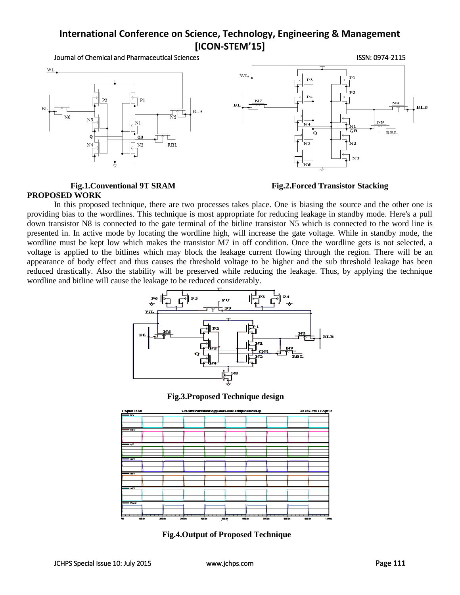



Fig.1.Conventional 9T SRAM Fig.2.Forced Transistor Stacking

# **PROPOSED WORK**

In this proposed technique, there are two processes takes place. One is biasing the source and the other one is providing bias to the wordlines. This technique is most appropriate for reducing leakage in standby mode. Here's a pull down transistor N8 is connected to the gate terminal of the bitline transistor N5 which is connected to the word line is presented in. In active mode by locating the wordline high, will increase the gate voltage. While in standby mode, the wordline must be kept low which makes the transistor M7 in off condition. Once the wordline gets is not selected, a voltage is applied to the bitlines which may block the leakage current flowing through the region. There will be an appearance of body effect and thus causes the threshold voltage to be higher and the sub threshold leakage has been reduced drastically. Also the stability will be preserved while reducing the leakage. Thus, by applying the technique wordline and bitline will cause the leakage to be reduced considerably.



**Fig.3.Proposed Technique design**



**Fig.4.Output of Proposed Technique**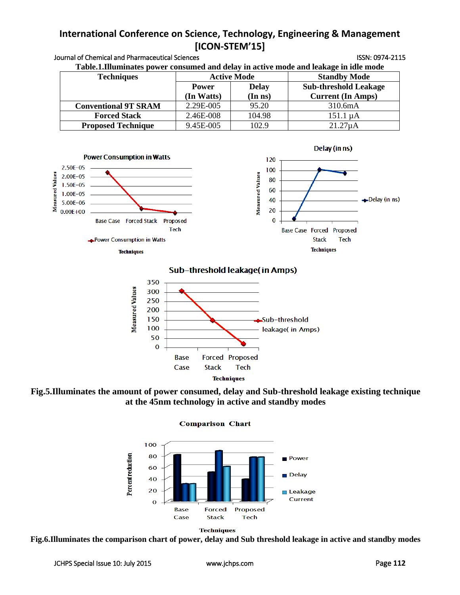| <b>Techniques</b>                 | <b>Active Mode</b> |                   | <b>Standby Mode</b>          |
|-----------------------------------|--------------------|-------------------|------------------------------|
|                                   | <b>Power</b>       | <b>Delay</b>      | <b>Sub-threshold Leakage</b> |
|                                   | (In Watts)         | $(In$ $ns)$       | <b>Current (In Amps)</b>     |
| <b>Conventional 9T SRAM</b>       | 2.29E-005          | 95.20             | 310.6mA                      |
| <b>Forced Stack</b>               | 2.46E-008          | 104.98            | $151.1 \mu A$                |
| <b>Proposed Technique</b>         | 9.45E-005          | 102.9             | $21.27\mu A$                 |
| <b>Power Consumption in Watts</b> |                    |                   | Delay (in ns)                |
| $2.50E - 05$                      |                    | 120<br>100<br>t a |                              |





Sub-threshold leakage(in Amps)



**Fig.5.Illuminates the amount of power consumed, delay and Sub-threshold leakage existing technique at the 45nm technology in active and standby modes**

**Comparison Chart** 





**Fig.6.Illuminates the comparison chart of power, delay and Sub threshold leakage in active and standby modes**